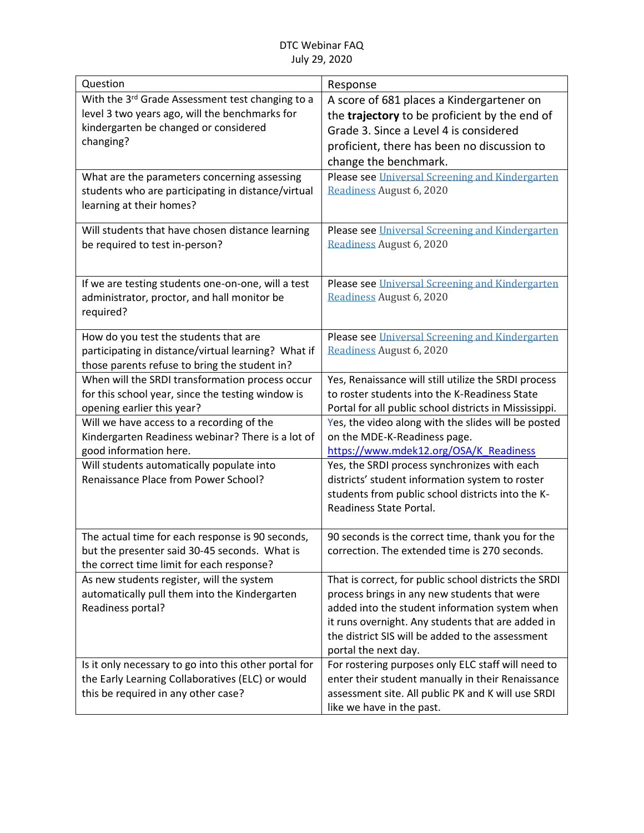| With the 3rd Grade Assessment test changing to a<br>A score of 681 places a Kindergartener on<br>level 3 two years ago, will the benchmarks for<br>the trajectory to be proficient by the end of<br>kindergarten be changed or considered<br>Grade 3. Since a Level 4 is considered<br>changing?<br>proficient, there has been no discussion to<br>change the benchmark. |
|--------------------------------------------------------------------------------------------------------------------------------------------------------------------------------------------------------------------------------------------------------------------------------------------------------------------------------------------------------------------------|
|                                                                                                                                                                                                                                                                                                                                                                          |
|                                                                                                                                                                                                                                                                                                                                                                          |
|                                                                                                                                                                                                                                                                                                                                                                          |
|                                                                                                                                                                                                                                                                                                                                                                          |
|                                                                                                                                                                                                                                                                                                                                                                          |
| Please see Universal Screening and Kindergarten<br>What are the parameters concerning assessing                                                                                                                                                                                                                                                                          |
| Readiness August 6, 2020<br>students who are participating in distance/virtual                                                                                                                                                                                                                                                                                           |
| learning at their homes?                                                                                                                                                                                                                                                                                                                                                 |
|                                                                                                                                                                                                                                                                                                                                                                          |
| Please see Universal Screening and Kindergarten<br>Will students that have chosen distance learning                                                                                                                                                                                                                                                                      |
| Readiness August 6, 2020<br>be required to test in-person?                                                                                                                                                                                                                                                                                                               |
|                                                                                                                                                                                                                                                                                                                                                                          |
| Please see Universal Screening and Kindergarten<br>If we are testing students one-on-one, will a test                                                                                                                                                                                                                                                                    |
| Readiness August 6, 2020<br>administrator, proctor, and hall monitor be                                                                                                                                                                                                                                                                                                  |
| required?                                                                                                                                                                                                                                                                                                                                                                |
| Please see Universal Screening and Kindergarten<br>How do you test the students that are                                                                                                                                                                                                                                                                                 |
| Readiness August 6, 2020<br>participating in distance/virtual learning? What if                                                                                                                                                                                                                                                                                          |
| those parents refuse to bring the student in?                                                                                                                                                                                                                                                                                                                            |
| When will the SRDI transformation process occur<br>Yes, Renaissance will still utilize the SRDI process                                                                                                                                                                                                                                                                  |
| to roster students into the K-Readiness State<br>for this school year, since the testing window is                                                                                                                                                                                                                                                                       |
| opening earlier this year?<br>Portal for all public school districts in Mississippi.                                                                                                                                                                                                                                                                                     |
| Will we have access to a recording of the<br>Yes, the video along with the slides will be posted                                                                                                                                                                                                                                                                         |
| Kindergarten Readiness webinar? There is a lot of<br>on the MDE-K-Readiness page.                                                                                                                                                                                                                                                                                        |
| https://www.mdek12.org/OSA/K Readiness<br>good information here.                                                                                                                                                                                                                                                                                                         |
| Will students automatically populate into<br>Yes, the SRDI process synchronizes with each                                                                                                                                                                                                                                                                                |
| Renaissance Place from Power School?<br>districts' student information system to roster                                                                                                                                                                                                                                                                                  |
| students from public school districts into the K-<br>Readiness State Portal.                                                                                                                                                                                                                                                                                             |
|                                                                                                                                                                                                                                                                                                                                                                          |
| The actual time for each response is 90 seconds,<br>90 seconds is the correct time, thank you for the                                                                                                                                                                                                                                                                    |
| but the presenter said 30-45 seconds. What is<br>correction. The extended time is 270 seconds.                                                                                                                                                                                                                                                                           |
| the correct time limit for each response?                                                                                                                                                                                                                                                                                                                                |
| That is correct, for public school districts the SRDI<br>As new students register, will the system                                                                                                                                                                                                                                                                       |
| automatically pull them into the Kindergarten<br>process brings in any new students that were                                                                                                                                                                                                                                                                            |
| Readiness portal?<br>added into the student information system when                                                                                                                                                                                                                                                                                                      |
| it runs overnight. Any students that are added in                                                                                                                                                                                                                                                                                                                        |
| the district SIS will be added to the assessment                                                                                                                                                                                                                                                                                                                         |
| portal the next day.                                                                                                                                                                                                                                                                                                                                                     |
| For rostering purposes only ELC staff will need to<br>Is it only necessary to go into this other portal for<br>the Early Learning Collaboratives (ELC) or would                                                                                                                                                                                                          |
| enter their student manually in their Renaissance<br>this be required in any other case?<br>assessment site. All public PK and K will use SRDI                                                                                                                                                                                                                           |
| like we have in the past.                                                                                                                                                                                                                                                                                                                                                |